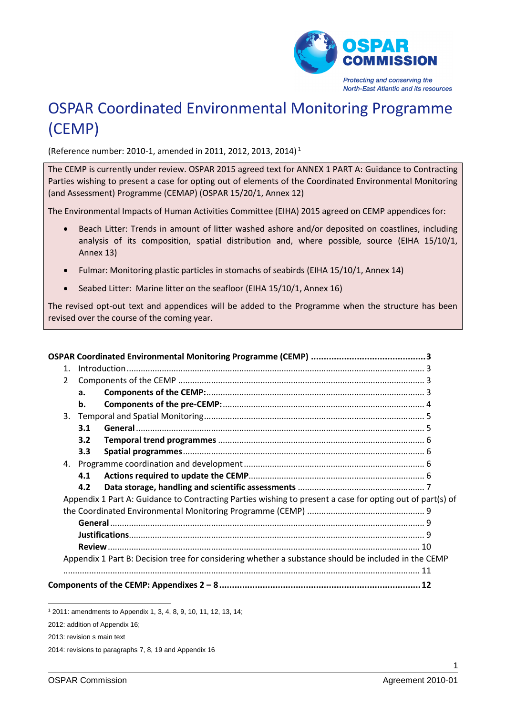

# OSPAR Coordinated Environmental Monitoring Programme (CEMP)

(Reference number: 2010-1, amended in 2011, 2012, 2013, 2014) 1

The CEMP is currently under review. OSPAR 2015 agreed text for ANNEX 1 PART A: Guidance to Contracting Parties wishing to present a case for opting out of elements of the Coordinated Environmental Monitoring (and Assessment) Programme (CEMAP) (OSPAR 15/20/1, Annex 12)

The Environmental Impacts of Human Activities Committee (EIHA) 2015 agreed on CEMP appendices for:

- Beach Litter: Trends in amount of litter washed ashore and/or deposited on coastlines, including analysis of its composition, spatial distribution and, where possible, source (EIHA 15/10/1, Annex 13)
- Fulmar: Monitoring plastic particles in stomachs of seabirds (EIHA 15/10/1, Annex 14)
- Seabed Litter: Marine litter on the seafloor (EIHA 15/10/1, Annex 16)

The revised opt-out text and appendices will be added to the Programme when the structure has been revised over the course of the coming year.

| $\mathbf{1}$ . |     |                                                                                                           |  |
|----------------|-----|-----------------------------------------------------------------------------------------------------------|--|
| $\mathfrak{D}$ |     |                                                                                                           |  |
|                | a.  |                                                                                                           |  |
|                | b.  |                                                                                                           |  |
| 3.             |     |                                                                                                           |  |
|                | 3.1 |                                                                                                           |  |
|                | 3.2 |                                                                                                           |  |
|                | 3.3 |                                                                                                           |  |
|                |     |                                                                                                           |  |
|                | 4.1 |                                                                                                           |  |
|                | 4.2 |                                                                                                           |  |
|                |     | Appendix 1 Part A: Guidance to Contracting Parties wishing to present a case for opting out of part(s) of |  |
|                |     |                                                                                                           |  |
|                |     |                                                                                                           |  |
|                |     |                                                                                                           |  |
|                |     |                                                                                                           |  |
|                |     | Appendix 1 Part B: Decision tree for considering whether a substance should be included in the CEMP       |  |
|                |     |                                                                                                           |  |
|                |     |                                                                                                           |  |

<sup>1</sup> 2011: amendments to Appendix 1, 3, 4, 8, 9, 10, 11, 12, 13, 14;

-

<sup>2012:</sup> addition of Appendix 16;

<sup>2013:</sup> revision s main text

<sup>2014:</sup> revisions to paragraphs 7, 8, 19 and Appendix 16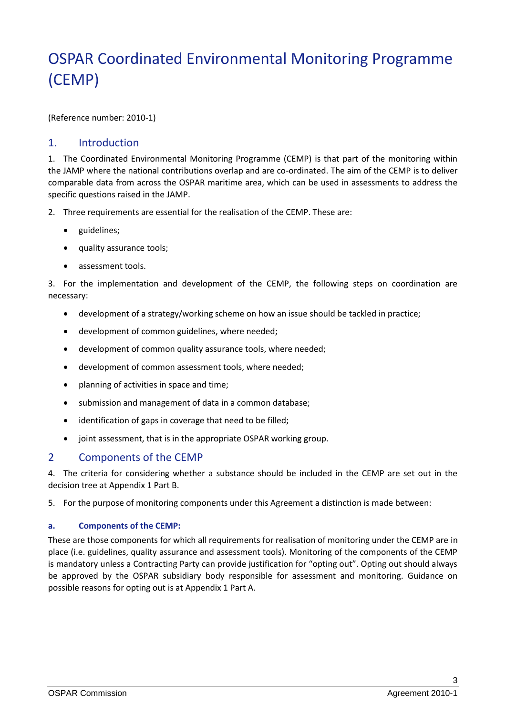# <span id="page-2-0"></span>OSPAR Coordinated Environmental Monitoring Programme (CEMP)

(Reference number: 2010-1)

#### <span id="page-2-1"></span>1. Introduction

1. The Coordinated Environmental Monitoring Programme (CEMP) is that part of the monitoring within the JAMP where the national contributions overlap and are co-ordinated. The aim of the CEMP is to deliver comparable data from across the OSPAR maritime area, which can be used in assessments to address the specific questions raised in the JAMP.

- 2. Three requirements are essential for the realisation of the CEMP. These are:
	- guidelines;
	- quality assurance tools;
	- assessment tools.

3. For the implementation and development of the CEMP, the following steps on coordination are necessary:

- development of a strategy/working scheme on how an issue should be tackled in practice;
- development of common guidelines, where needed;
- development of common quality assurance tools, where needed;
- development of common assessment tools, where needed;
- planning of activities in space and time;
- submission and management of data in a common database;
- identification of gaps in coverage that need to be filled;
- joint assessment, that is in the appropriate OSPAR working group.

#### <span id="page-2-2"></span>2 Components of the CEMP

4. The criteria for considering whether a substance should be included in the CEMP are set out in the decision tree at Appendix 1 Part B.

5. For the purpose of monitoring components under this Agreement a distinction is made between:

#### <span id="page-2-3"></span>**a. Components of the CEMP:**

These are those components for which all requirements for realisation of monitoring under the CEMP are in place (i.e. guidelines, quality assurance and assessment tools). Monitoring of the components of the CEMP is mandatory unless a Contracting Party can provide justification for "opting out". Opting out should always be approved by the OSPAR subsidiary body responsible for assessment and monitoring. Guidance on possible reasons for opting out is at Appendix 1 Part A.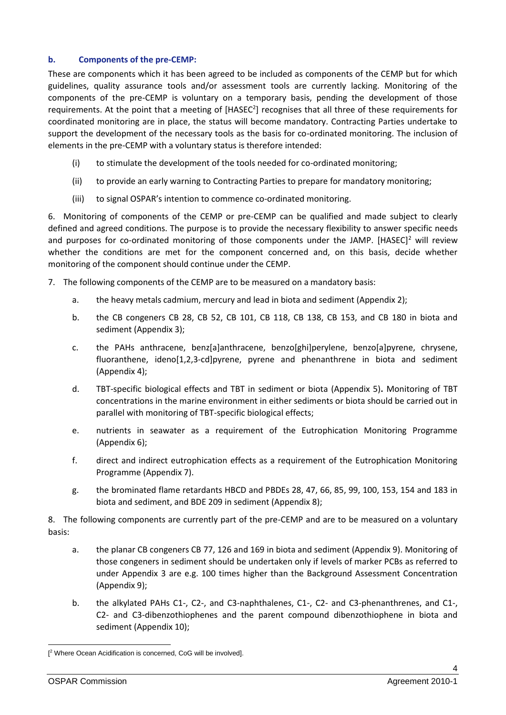#### <span id="page-3-0"></span>**b. Components of the pre-CEMP:**

These are components which it has been agreed to be included as components of the CEMP but for which guidelines, quality assurance tools and/or assessment tools are currently lacking. Monitoring of the components of the pre-CEMP is voluntary on a temporary basis, pending the development of those requirements. At the point that a meeting of  $[HASEC^2]$  recognises that all three of these requirements for coordinated monitoring are in place, the status will become mandatory. Contracting Parties undertake to support the development of the necessary tools as the basis for co-ordinated monitoring. The inclusion of elements in the pre-CEMP with a voluntary status is therefore intended:

- <span id="page-3-1"></span>(i) to stimulate the development of the tools needed for co-ordinated monitoring;
- (ii) to provide an early warning to Contracting Parties to prepare for mandatory monitoring;
- (iii) to signal OSPAR's intention to commence co-ordinated monitoring.

6. Monitoring of components of the CEMP or pre-CEMP can be qualified and made subject to clearly defined and agreed conditions. The purpose is to provide the necessary flexibility to answer specific needs and purposes for co-ordinated monitoring of those components under the JAMP.  $[HASEC]^2$  $[HASEC]^2$  $[HASEC]^2$  will review whether the conditions are met for the component concerned and, on this basis, decide whether monitoring of the component should continue under the CEMP.

- 7. The following components of the CEMP are to be measured on a mandatory basis:
	- a. the heavy metals cadmium, mercury and lead in biota and sediment (Appendix 2);
	- b. the CB congeners CB 28, CB 52, CB 101, CB 118, CB 138, CB 153, and CB 180 in biota and sediment (Appendix 3);
	- c. the PAHs anthracene, benz[a]anthracene, benzo[ghi]perylene, benzo[a]pyrene, chrysene, fluoranthene, ideno[1,2,3-cd]pyrene, pyrene and phenanthrene in biota and sediment (Appendix 4);
	- d. TBT-specific biological effects and TBT in sediment or biota (Appendix 5)**.** Monitoring of TBT concentrations in the marine environment in either sediments or biota should be carried out in parallel with monitoring of TBT-specific biological effects;
	- e. nutrients in seawater as a requirement of the Eutrophication Monitoring Programme (Appendix 6);
	- f. direct and indirect eutrophication effects as a requirement of the Eutrophication Monitoring Programme (Appendix 7).
	- g. the brominated flame retardants HBCD and PBDEs 28, 47, 66, 85, 99, 100, 153, 154 and 183 in biota and sediment, and BDE 209 in sediment (Appendix 8);

8. The following components are currently part of the pre-CEMP and are to be measured on a voluntary basis:

- a. the planar CB congeners CB 77, 126 and 169 in biota and sediment (Appendix 9). Monitoring of those congeners in sediment should be undertaken only if levels of marker PCBs as referred to under Appendix 3 are e.g. 100 times higher than the Background Assessment Concentration (Appendix 9);
- b. the alkylated PAHs C1-, C2-, and C3-naphthalenes, C1-, C2- and C3-phenanthrenes, and C1-, C2- and C3-dibenzothiophenes and the parent compound dibenzothiophene in biota and sediment (Appendix 10);

1

<sup>[</sup> <sup>2</sup> Where Ocean Acidification is concerned, CoG will be involved].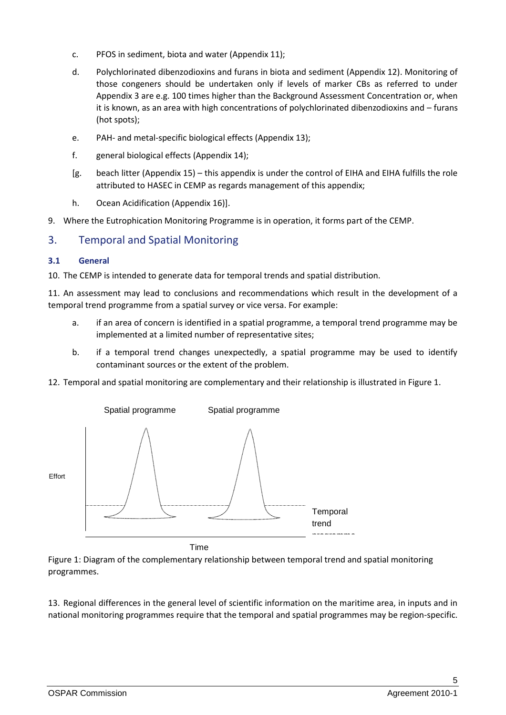- c. PFOS in sediment, biota and water (Appendix 11);
- d. Polychlorinated dibenzodioxins and furans in biota and sediment (Appendix 12). Monitoring of those congeners should be undertaken only if levels of marker CBs as referred to under Appendix 3 are e.g. 100 times higher than the Background Assessment Concentration or, when it is known, as an area with high concentrations of polychlorinated dibenzodioxins and – furans (hot spots);
- e. PAH- and metal-specific biological effects (Appendix 13);
- f. general biological effects (Appendix 14);
- [g. beach litter (Appendix 15) this appendix is under the control of EIHA and EIHA fulfills the role attributed to HASEC in CEMP as regards management of this appendix;
- h. Ocean Acidification (Appendix 16)].
- 9. Where the Eutrophication Monitoring Programme is in operation, it forms part of the CEMP.

## <span id="page-4-0"></span>3. Temporal and Spatial Monitoring

#### <span id="page-4-1"></span>**3.1 General**

10. The CEMP is intended to generate data for temporal trends and spatial distribution.

11. An assessment may lead to conclusions and recommendations which result in the development of a temporal trend programme from a spatial survey or vice versa. For example:

- a. if an area of concern is identified in a spatial programme, a temporal trend programme may be implemented at a limited number of representative sites;
- b. if a temporal trend changes unexpectedly, a spatial programme may be used to identify contaminant sources or the extent of the problem.
- 12. Temporal and spatial monitoring are complementary and their relationship is illustrated in Figure 1.



Time

Figure 1: Diagram of the complementary relationship between temporal trend and spatial monitoring programmes.

13. Regional differences in the general level of scientific information on the maritime area, in inputs and in national monitoring programmes require that the temporal and spatial programmes may be region-specific.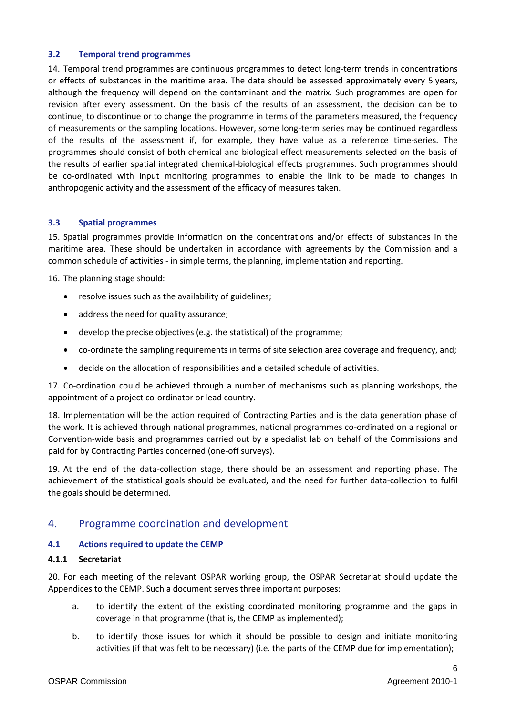#### <span id="page-5-0"></span>**3.2 Temporal trend programmes**

14. Temporal trend programmes are continuous programmes to detect long-term trends in concentrations or effects of substances in the maritime area. The data should be assessed approximately every 5 years, although the frequency will depend on the contaminant and the matrix. Such programmes are open for revision after every assessment. On the basis of the results of an assessment, the decision can be to continue, to discontinue or to change the programme in terms of the parameters measured, the frequency of measurements or the sampling locations. However, some long-term series may be continued regardless of the results of the assessment if, for example, they have value as a reference time-series. The programmes should consist of both chemical and biological effect measurements selected on the basis of the results of earlier spatial integrated chemical-biological effects programmes. Such programmes should be co-ordinated with input monitoring programmes to enable the link to be made to changes in anthropogenic activity and the assessment of the efficacy of measures taken.

#### <span id="page-5-1"></span>**3.3 Spatial programmes**

15. Spatial programmes provide information on the concentrations and/or effects of substances in the maritime area. These should be undertaken in accordance with agreements by the Commission and a common schedule of activities - in simple terms, the planning, implementation and reporting.

16. The planning stage should:

- resolve issues such as the availability of guidelines;
- address the need for quality assurance;
- develop the precise objectives (e.g. the statistical) of the programme;
- co-ordinate the sampling requirements in terms of site selection area coverage and frequency, and;
- decide on the allocation of responsibilities and a detailed schedule of activities.

17. Co-ordination could be achieved through a number of mechanisms such as planning workshops, the appointment of a project co-ordinator or lead country.

18. Implementation will be the action required of Contracting Parties and is the data generation phase of the work. It is achieved through national programmes, national programmes co-ordinated on a regional or Convention-wide basis and programmes carried out by a specialist lab on behalf of the Commissions and paid for by Contracting Parties concerned (one-off surveys).

19. At the end of the data-collection stage, there should be an assessment and reporting phase. The achievement of the statistical goals should be evaluated, and the need for further data-collection to fulfil the goals should be determined.

#### <span id="page-5-2"></span>4. Programme coordination and development

#### <span id="page-5-3"></span>**4.1 Actions required to update the CEMP**

#### **4.1.1 Secretariat**

20. For each meeting of the relevant OSPAR working group, the OSPAR Secretariat should update the Appendices to the CEMP. Such a document serves three important purposes:

- a. to identify the extent of the existing coordinated monitoring programme and the gaps in coverage in that programme (that is, the CEMP as implemented);
- b. to identify those issues for which it should be possible to design and initiate monitoring activities (if that was felt to be necessary) (i.e. the parts of the CEMP due for implementation);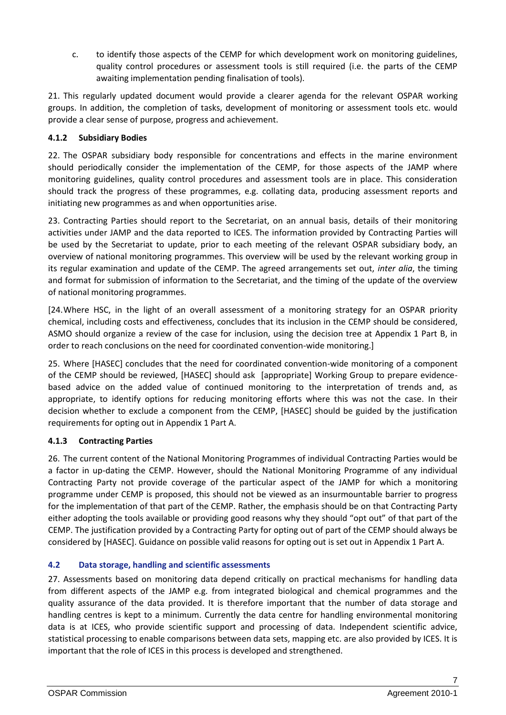c. to identify those aspects of the CEMP for which development work on monitoring guidelines, quality control procedures or assessment tools is still required (i.e. the parts of the CEMP awaiting implementation pending finalisation of tools).

21. This regularly updated document would provide a clearer agenda for the relevant OSPAR working groups. In addition, the completion of tasks, development of monitoring or assessment tools etc. would provide a clear sense of purpose, progress and achievement.

#### **4.1.2 Subsidiary Bodies**

22. The OSPAR subsidiary body responsible for concentrations and effects in the marine environment should periodically consider the implementation of the CEMP, for those aspects of the JAMP where monitoring guidelines, quality control procedures and assessment tools are in place. This consideration should track the progress of these programmes, e.g. collating data, producing assessment reports and initiating new programmes as and when opportunities arise.

23. Contracting Parties should report to the Secretariat, on an annual basis, details of their monitoring activities under JAMP and the data reported to ICES. The information provided by Contracting Parties will be used by the Secretariat to update, prior to each meeting of the relevant OSPAR subsidiary body, an overview of national monitoring programmes. This overview will be used by the relevant working group in its regular examination and update of the CEMP. The agreed arrangements set out, *inter alia*, the timing and format for submission of information to the Secretariat, and the timing of the update of the overview of national monitoring programmes.

[24.Where HSC, in the light of an overall assessment of a monitoring strategy for an OSPAR priority chemical, including costs and effectiveness, concludes that its inclusion in the CEMP should be considered, ASMO should organize a review of the case for inclusion, using the decision tree at Appendix 1 Part B, in order to reach conclusions on the need for coordinated convention-wide monitoring.]

25. Where [HASEC] concludes that the need for coordinated convention-wide monitoring of a component of the CEMP should be reviewed, [HASEC] should ask [appropriate] Working Group to prepare evidencebased advice on the added value of continued monitoring to the interpretation of trends and, as appropriate, to identify options for reducing monitoring efforts where this was not the case. In their decision whether to exclude a component from the CEMP, [HASEC] should be guided by the justification requirements for opting out in Appendix 1 Part A.

#### **4.1.3 Contracting Parties**

26. The current content of the National Monitoring Programmes of individual Contracting Parties would be a factor in up-dating the CEMP. However, should the National Monitoring Programme of any individual Contracting Party not provide coverage of the particular aspect of the JAMP for which a monitoring programme under CEMP is proposed, this should not be viewed as an insurmountable barrier to progress for the implementation of that part of the CEMP. Rather, the emphasis should be on that Contracting Party either adopting the tools available or providing good reasons why they should "opt out" of that part of the CEMP. The justification provided by a Contracting Party for opting out of part of the CEMP should always be considered by [HASEC]. Guidance on possible valid reasons for opting out is set out in Appendix 1 Part A.

#### <span id="page-6-0"></span>**4.2 Data storage, handling and scientific assessments**

27. Assessments based on monitoring data depend critically on practical mechanisms for handling data from different aspects of the JAMP e.g. from integrated biological and chemical programmes and the quality assurance of the data provided. It is therefore important that the number of data storage and handling centres is kept to a minimum. Currently the data centre for handling environmental monitoring data is at ICES, who provide scientific support and processing of data. Independent scientific advice, statistical processing to enable comparisons between data sets, mapping etc. are also provided by ICES. It is important that the role of ICES in this process is developed and strengthened.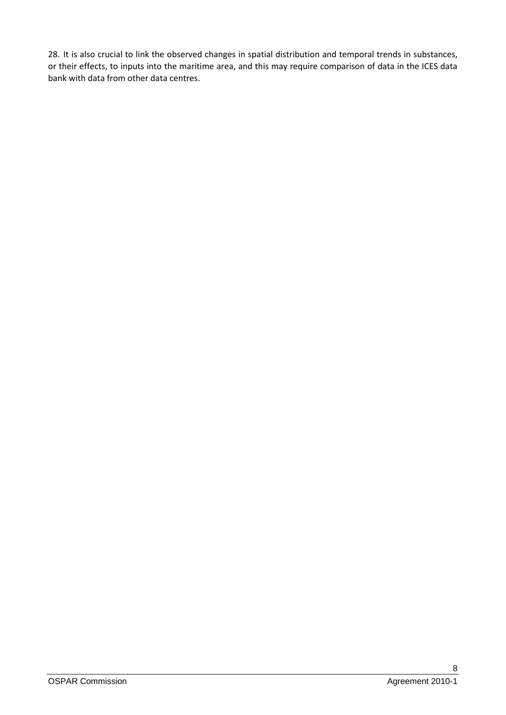28. It is also crucial to link the observed changes in spatial distribution and temporal trends in substances, or their effects, to inputs into the maritime area, and this may require comparison of data in the ICES data bank with data from other data centres.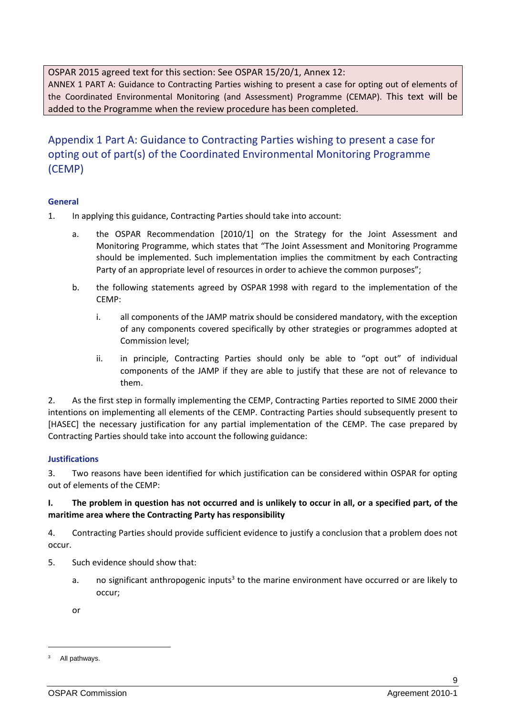<span id="page-8-0"></span>OSPAR 2015 agreed text for this section: See OSPAR 15/20/1, Annex 12:

ANNEX 1 PART A: Guidance to Contracting Parties wishing to present a case for opting out of elements of the Coordinated Environmental Monitoring (and Assessment) Programme (CEMAP). This text will be added to the Programme when the review procedure has been completed.

## Appendix 1 Part A: Guidance to Contracting Parties wishing to present a case for opting out of part(s) of the Coordinated Environmental Monitoring Programme (CEMP)

#### <span id="page-8-1"></span>**General**

- 1. In applying this guidance, Contracting Parties should take into account:
	- a. the OSPAR Recommendation [2010/1] on the Strategy for the Joint Assessment and Monitoring Programme, which states that "The Joint Assessment and Monitoring Programme should be implemented. Such implementation implies the commitment by each Contracting Party of an appropriate level of resources in order to achieve the common purposes";
	- b. the following statements agreed by OSPAR 1998 with regard to the implementation of the CEMP:
		- i. all components of the JAMP matrix should be considered mandatory, with the exception of any components covered specifically by other strategies or programmes adopted at Commission level;
		- ii. in principle, Contracting Parties should only be able to "opt out" of individual components of the JAMP if they are able to justify that these are not of relevance to them.

2. As the first step in formally implementing the CEMP, Contracting Parties reported to SIME 2000 their intentions on implementing all elements of the CEMP. Contracting Parties should subsequently present to [HASEC] the necessary justification for any partial implementation of the CEMP. The case prepared by Contracting Parties should take into account the following guidance:

#### <span id="page-8-2"></span>**Justifications**

3. Two reasons have been identified for which justification can be considered within OSPAR for opting out of elements of the CEMP:

#### **I. The problem in question has not occurred and is unlikely to occur in all, or a specified part, of the maritime area where the Contracting Party has responsibility**

4. Contracting Parties should provide sufficient evidence to justify a conclusion that a problem does not occur.

- 5. Such evidence should show that:
	- a. The significant anthropogenic inputs<sup>3</sup> to the marine environment have occurred or are likely to occur;

<span id="page-8-3"></span>or

All pathways.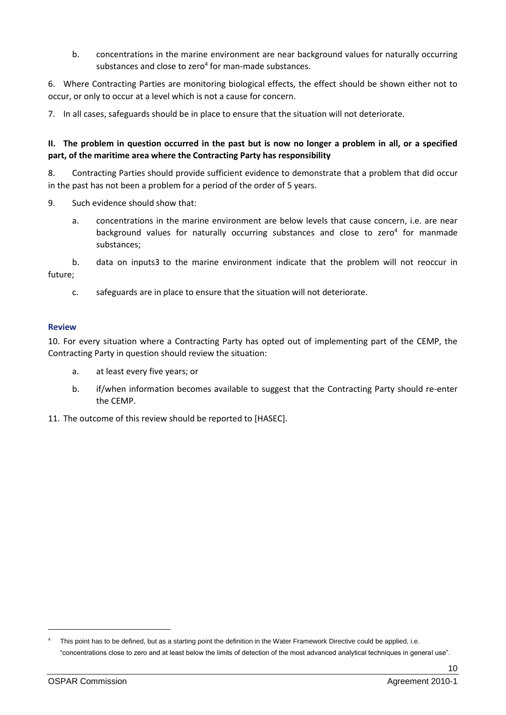<span id="page-9-1"></span>b. concentrations in the marine environment are near background values for naturally occurring substances and close to zero $4$  for man-made substances.

6. Where Contracting Parties are monitoring biological effects, the effect should be shown either not to occur, or only to occur at a level which is not a cause for concern.

7. In all cases, safeguards should be in place to ensure that the situation will not deteriorate.

#### **II. The problem in question occurred in the past but is now no longer a problem in all, or a specified part, of the maritime area where the Contracting Party has responsibility**

8. Contracting Parties should provide sufficient evidence to demonstrate that a problem that did occur in the past has not been a problem for a period of the order of 5 years.

- 9. Such evidence should show that:
	- a. concentrations in the marine environment are below levels that cause concern, i.e. are near background values for naturally occurring substances and close to zero<sup>[4](#page-9-1)</sup> for manmade substances;

b. data on input[s3](#page-8-3) to the marine environment indicate that the problem will not reoccur in future;

c. safeguards are in place to ensure that the situation will not deteriorate.

#### <span id="page-9-0"></span>**Review**

10. For every situation where a Contracting Party has opted out of implementing part of the CEMP, the Contracting Party in question should review the situation:

- a. at least every five years; or
- b. if/when information becomes available to suggest that the Contracting Party should re-enter the CEMP.
- 11. The outcome of this review should be reported to [HASEC].

This point has to be defined, but as a starting point the definition in the Water Framework Directive could be applied, i.e. "concentrations close to zero and at least below the limits of detection of the most advanced analytical techniques in general use".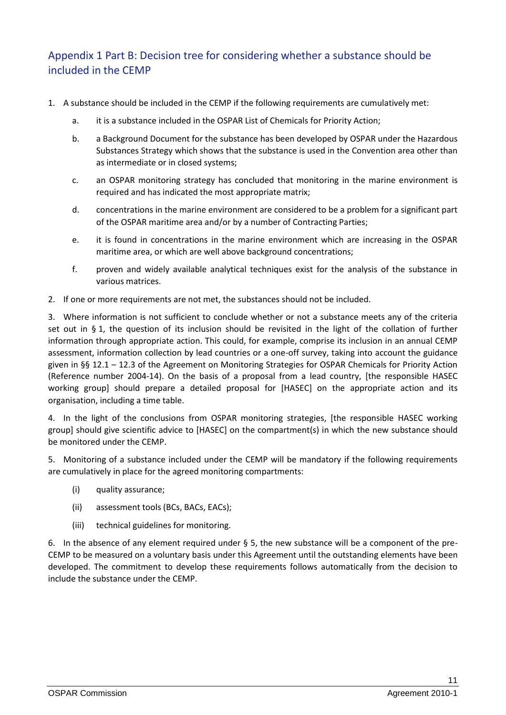# <span id="page-10-0"></span>Appendix 1 Part B: Decision tree for considering whether a substance should be included in the CEMP

- 1. A substance should be included in the CEMP if the following requirements are cumulatively met:
	- a. it is a substance included in the OSPAR List of Chemicals for Priority Action;
	- b. a Background Document for the substance has been developed by OSPAR under the Hazardous Substances Strategy which shows that the substance is used in the Convention area other than as intermediate or in closed systems;
	- c. an OSPAR monitoring strategy has concluded that monitoring in the marine environment is required and has indicated the most appropriate matrix;
	- d. concentrations in the marine environment are considered to be a problem for a significant part of the OSPAR maritime area and/or by a number of Contracting Parties;
	- e. it is found in concentrations in the marine environment which are increasing in the OSPAR maritime area, or which are well above background concentrations;
	- f. proven and widely available analytical techniques exist for the analysis of the substance in various matrices.
- 2. If one or more requirements are not met, the substances should not be included.

3. Where information is not sufficient to conclude whether or not a substance meets any of the criteria set out in § 1, the question of its inclusion should be revisited in the light of the collation of further information through appropriate action. This could, for example, comprise its inclusion in an annual CEMP assessment, information collection by lead countries or a one-off survey, taking into account the guidance given in §§ 12.1 – 12.3 of the Agreement on Monitoring Strategies for OSPAR Chemicals for Priority Action (Reference number 2004-14). On the basis of a proposal from a lead country, [the responsible HASEC working group] should prepare a detailed proposal for [HASEC] on the appropriate action and its organisation, including a time table.

4. In the light of the conclusions from OSPAR monitoring strategies, [the responsible HASEC working group] should give scientific advice to [HASEC] on the compartment(s) in which the new substance should be monitored under the CEMP.

5. Monitoring of a substance included under the CEMP will be mandatory if the following requirements are cumulatively in place for the agreed monitoring compartments:

- (i) quality assurance;
- (ii) assessment tools (BCs, BACs, EACs);
- (iii) technical guidelines for monitoring.

6. In the absence of any element required under  $\S$  5, the new substance will be a component of the pre-CEMP to be measured on a voluntary basis under this Agreement until the outstanding elements have been developed. The commitment to develop these requirements follows automatically from the decision to include the substance under the CEMP.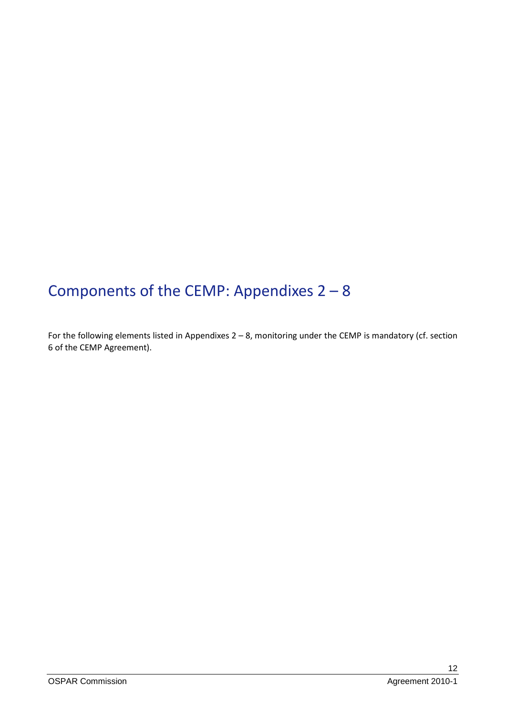# <span id="page-11-0"></span>Components of the CEMP: Appendixes 2 – 8

For the following elements listed in Appendixes 2 – 8, monitoring under the CEMP is mandatory (cf. section 6 of the CEMP Agreement).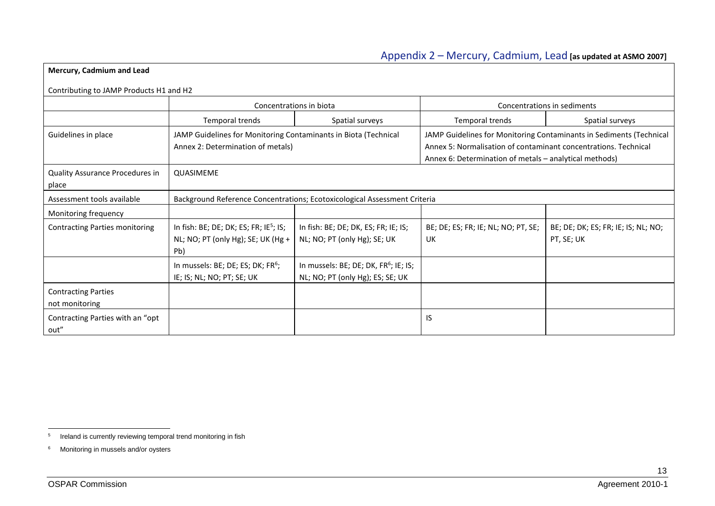# <span id="page-12-1"></span>Appendix 2 – Mercury, Cadmium, Lead **[as updated at ASMO 2007]**

| Mercury, Cadmium and Lead                    |                                                                                                      |                                                                                       |                                                                                                                                                                                                  |                                                   |  |  |  |
|----------------------------------------------|------------------------------------------------------------------------------------------------------|---------------------------------------------------------------------------------------|--------------------------------------------------------------------------------------------------------------------------------------------------------------------------------------------------|---------------------------------------------------|--|--|--|
| Contributing to JAMP Products H1 and H2      |                                                                                                      |                                                                                       |                                                                                                                                                                                                  |                                                   |  |  |  |
|                                              |                                                                                                      | Concentrations in biota                                                               |                                                                                                                                                                                                  | Concentrations in sediments                       |  |  |  |
|                                              | Temporal trends                                                                                      | Spatial surveys                                                                       | Temporal trends                                                                                                                                                                                  | Spatial surveys                                   |  |  |  |
| Guidelines in place                          | JAMP Guidelines for Monitoring Contaminants in Biota (Technical<br>Annex 2: Determination of metals) |                                                                                       | JAMP Guidelines for Monitoring Contaminants in Sediments (Technical<br>Annex 5: Normalisation of contaminant concentrations. Technical<br>Annex 6: Determination of metals - analytical methods) |                                                   |  |  |  |
| Quality Assurance Procedures in<br>place     | QUASIMEME                                                                                            |                                                                                       |                                                                                                                                                                                                  |                                                   |  |  |  |
| Assessment tools available                   |                                                                                                      | Background Reference Concentrations; Ecotoxicological Assessment Criteria             |                                                                                                                                                                                                  |                                                   |  |  |  |
| Monitoring frequency                         |                                                                                                      |                                                                                       |                                                                                                                                                                                                  |                                                   |  |  |  |
| <b>Contracting Parties monitoring</b>        | In fish: BE; DE; DK; ES; FR; IE <sup>5</sup> ; IS;<br>NL; NO; PT (only Hg); SE; UK (Hg +<br>Pb)      | In fish: BE; DE; DK, ES; FR; IE; IS;<br>NL; NO; PT (only Hg); SE; UK                  | BE; DE; ES; FR; IE; NL; NO; PT, SE;<br>UK                                                                                                                                                        | BE; DE; DK; ES; FR; IE; IS; NL; NO;<br>PT, SE; UK |  |  |  |
|                                              | In mussels: BE; DE; ES; DK; FR <sup>6</sup> ;<br>IE; IS; NL; NO; PT; SE; UK                          | In mussels: BE; DE; DK, FR <sup>6</sup> ; IE; IS;<br>NL; NO; PT (only Hg); ES; SE; UK |                                                                                                                                                                                                  |                                                   |  |  |  |
| <b>Contracting Parties</b><br>not monitoring |                                                                                                      |                                                                                       |                                                                                                                                                                                                  |                                                   |  |  |  |
| Contracting Parties with an "opt<br>out"     |                                                                                                      |                                                                                       | IS                                                                                                                                                                                               |                                                   |  |  |  |

<span id="page-12-0"></span><sup>-&</sup>lt;br>5 Ireland is currently reviewing temporal trend monitoring in fish

<sup>6</sup> Monitoring in mussels and/or oysters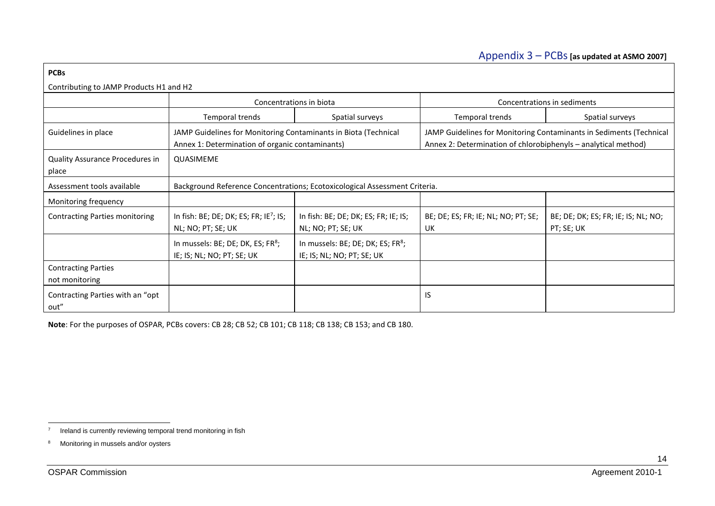# <span id="page-13-0"></span>Appendix 3 – PCBs**[as updated at ASMO 2007]**

| <b>PCBs</b>                                  |                                                                                                                                                                                                                                                             |                                                                             |                                           |                                                   |  |  |  |
|----------------------------------------------|-------------------------------------------------------------------------------------------------------------------------------------------------------------------------------------------------------------------------------------------------------------|-----------------------------------------------------------------------------|-------------------------------------------|---------------------------------------------------|--|--|--|
| Contributing to JAMP Products H1 and H2      |                                                                                                                                                                                                                                                             |                                                                             |                                           |                                                   |  |  |  |
|                                              |                                                                                                                                                                                                                                                             | Concentrations in biota                                                     |                                           | Concentrations in sediments                       |  |  |  |
|                                              | Temporal trends                                                                                                                                                                                                                                             | Spatial surveys                                                             | Temporal trends                           | Spatial surveys                                   |  |  |  |
| Guidelines in place                          | JAMP Guidelines for Monitoring Contaminants in Biota (Technical<br>JAMP Guidelines for Monitoring Contaminants in Sediments (Technical<br>Annex 1: Determination of organic contaminants)<br>Annex 2: Determination of chlorobiphenyls - analytical method) |                                                                             |                                           |                                                   |  |  |  |
| Quality Assurance Procedures in<br>place     | QUASIMEME                                                                                                                                                                                                                                                   |                                                                             |                                           |                                                   |  |  |  |
| Assessment tools available                   |                                                                                                                                                                                                                                                             | Background Reference Concentrations; Ecotoxicological Assessment Criteria.  |                                           |                                                   |  |  |  |
| Monitoring frequency                         |                                                                                                                                                                                                                                                             |                                                                             |                                           |                                                   |  |  |  |
| <b>Contracting Parties monitoring</b>        | In fish: BE; DE; DK; ES; FR; IE <sup>7</sup> ; IS;<br>NL; NO; PT; SE; UK                                                                                                                                                                                    | In fish: BE; DE; DK; ES; FR; IE; IS;<br>NL; NO; PT; SE; UK                  | BE; DE; ES; FR; IE; NL; NO; PT; SE;<br>UK | BE; DE; DK; ES; FR; IE; IS; NL; NO;<br>PT; SE; UK |  |  |  |
|                                              | In mussels: BE; DE; DK, ES; FR <sup>8</sup> ;<br>IE; IS; NL; NO; PT; SE; UK                                                                                                                                                                                 | In mussels: BE; DE; DK; ES; FR <sup>8</sup> ;<br>IE; IS; NL; NO; PT; SE; UK |                                           |                                                   |  |  |  |
| <b>Contracting Parties</b><br>not monitoring |                                                                                                                                                                                                                                                             |                                                                             |                                           |                                                   |  |  |  |
| Contracting Parties with an "opt<br>out"     |                                                                                                                                                                                                                                                             |                                                                             | IS                                        |                                                   |  |  |  |

<span id="page-13-1"></span>**Note**: For the purposes of OSPAR, PCBs covers: CB 28; CB 52; CB 101; CB 118; CB 138; CB 153; and CB 180.

 $\frac{1}{7}$ Ireland is currently reviewing temporal trend monitoring in fish

<sup>8</sup> Monitoring in mussels and/or oysters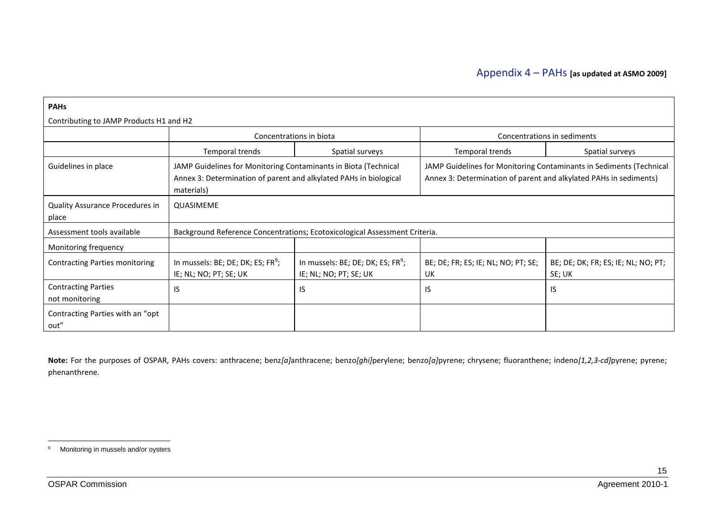| <b>PAHs</b>                                  |                                                                                                                                                                                                                                                                                                |                                                                            |                                           |                                               |  |  |
|----------------------------------------------|------------------------------------------------------------------------------------------------------------------------------------------------------------------------------------------------------------------------------------------------------------------------------------------------|----------------------------------------------------------------------------|-------------------------------------------|-----------------------------------------------|--|--|
| Contributing to JAMP Products H1 and H2      |                                                                                                                                                                                                                                                                                                |                                                                            |                                           |                                               |  |  |
|                                              |                                                                                                                                                                                                                                                                                                | Concentrations in biota                                                    |                                           | Concentrations in sediments                   |  |  |
|                                              | Temporal trends                                                                                                                                                                                                                                                                                | Spatial surveys                                                            | Temporal trends                           | Spatial surveys                               |  |  |
| Guidelines in place                          | JAMP Guidelines for Monitoring Contaminants in Biota (Technical<br>JAMP Guidelines for Monitoring Contaminants in Sediments (Technical<br>Annex 3: Determination of parent and alkylated PAHs in biological<br>Annex 3: Determination of parent and alkylated PAHs in sediments)<br>materials) |                                                                            |                                           |                                               |  |  |
| Quality Assurance Procedures in<br>place     | QUASIMEME                                                                                                                                                                                                                                                                                      |                                                                            |                                           |                                               |  |  |
| Assessment tools available                   |                                                                                                                                                                                                                                                                                                | Background Reference Concentrations; Ecotoxicological Assessment Criteria. |                                           |                                               |  |  |
| Monitoring frequency                         |                                                                                                                                                                                                                                                                                                |                                                                            |                                           |                                               |  |  |
| <b>Contracting Parties monitoring</b>        | In mussels: BE; DE; DK; ES; FR <sup>9</sup> ;<br>IE; NL; NO; PT; SE; UK                                                                                                                                                                                                                        | In mussels: BE; DE; DK; ES; FR <sup>9</sup> ;<br>IE; NL; NO; PT; SE; UK    | BE; DE; FR; ES; IE; NL; NO; PT; SE;<br>UK | BE; DE; DK; FR; ES; IE; NL; NO; PT;<br>SE; UK |  |  |
| <b>Contracting Parties</b><br>not monitoring | IS.                                                                                                                                                                                                                                                                                            | IS                                                                         | IS                                        | IS                                            |  |  |
| Contracting Parties with an "opt<br>out"     |                                                                                                                                                                                                                                                                                                |                                                                            |                                           |                                               |  |  |

<span id="page-14-1"></span><span id="page-14-0"></span>**Note:** For the purposes of OSPAR, PAHs covers: anthracene; benz*[a]*anthracene; benzo*[ghi]*perylene; benzo*[a]*pyrene; chrysene; fluoranthene; indeno*[1,2,3-cd]*pyrene; pyrene; phenanthrene.

 $\overline{9}$ Monitoring in mussels and/or oysters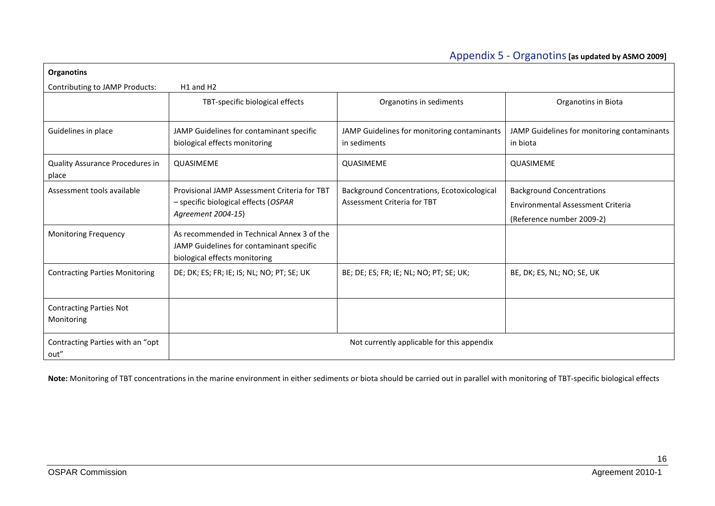### Appendix 5 - Organotins**[as updated by ASMO 2009]**

| <b>Organotins</b>                            |                                                                                                                         |                                                                            |                                                                                                           |
|----------------------------------------------|-------------------------------------------------------------------------------------------------------------------------|----------------------------------------------------------------------------|-----------------------------------------------------------------------------------------------------------|
| Contributing to JAMP Products:               | H <sub>1</sub> and H <sub>2</sub>                                                                                       |                                                                            |                                                                                                           |
|                                              | TBT-specific biological effects                                                                                         | Organotins in sediments                                                    | Organotins in Biota                                                                                       |
| Guidelines in place                          | JAMP Guidelines for contaminant specific<br>biological effects monitoring                                               | JAMP Guidelines for monitoring contaminants<br>in sediments                | JAMP Guidelines for monitoring contaminants<br>in biota                                                   |
| Quality Assurance Procedures in<br>place     | QUASIMEME                                                                                                               | QUASIMEME                                                                  | QUASIMEME                                                                                                 |
| Assessment tools available                   | Provisional JAMP Assessment Criteria for TBT<br>- specific biological effects (OSPAR<br>Agreement 2004-15)              | Background Concentrations, Ecotoxicological<br>Assessment Criteria for TBT | <b>Background Concentrations</b><br><b>Environmental Assessment Criteria</b><br>(Reference number 2009-2) |
| <b>Monitoring Frequency</b>                  | As recommended in Technical Annex 3 of the<br>JAMP Guidelines for contaminant specific<br>biological effects monitoring |                                                                            |                                                                                                           |
| <b>Contracting Parties Monitoring</b>        | DE; DK; ES; FR; IE; IS; NL; NO; PT; SE; UK                                                                              | BE; DE; ES; FR; IE; NL; NO; PT; SE; UK;                                    | BE, DK; ES, NL; NO; SE, UK                                                                                |
| <b>Contracting Parties Not</b><br>Monitoring |                                                                                                                         |                                                                            |                                                                                                           |
| Contracting Parties with an "opt<br>out"     |                                                                                                                         | Not currently applicable for this appendix                                 |                                                                                                           |

<span id="page-15-0"></span>**Note:** Monitoring of TBT concentrations in the marine environment in either sediments or biota should be carried out in parallel with monitoring of TBT-specific biological effects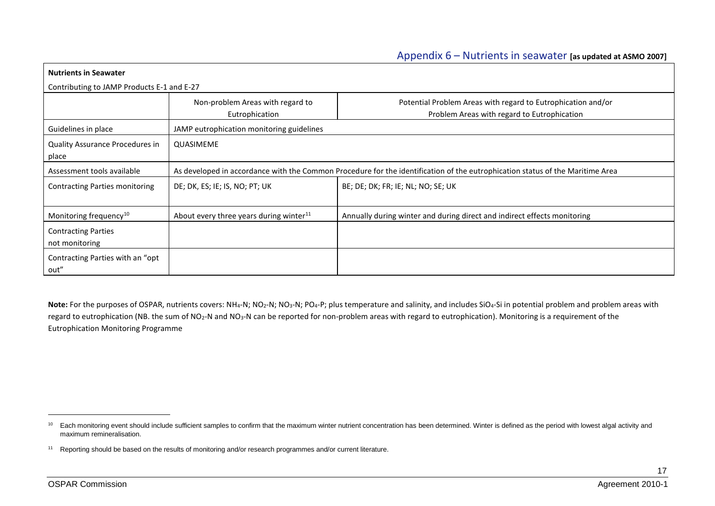| <b>Nutrients in Seawater</b>                 |                                                                                                                               |                                                                                                             |  |  |  |
|----------------------------------------------|-------------------------------------------------------------------------------------------------------------------------------|-------------------------------------------------------------------------------------------------------------|--|--|--|
| Contributing to JAMP Products E-1 and E-27   |                                                                                                                               |                                                                                                             |  |  |  |
|                                              | Non-problem Areas with regard to<br>Eutrophication                                                                            | Potential Problem Areas with regard to Eutrophication and/or<br>Problem Areas with regard to Eutrophication |  |  |  |
| Guidelines in place                          | JAMP eutrophication monitoring guidelines                                                                                     |                                                                                                             |  |  |  |
| Quality Assurance Procedures in<br>place     | QUASIMEME                                                                                                                     |                                                                                                             |  |  |  |
| Assessment tools available                   | As developed in accordance with the Common Procedure for the identification of the eutrophication status of the Maritime Area |                                                                                                             |  |  |  |
| Contracting Parties monitoring               | DE; DK, ES; IE; IS, NO; PT; UK                                                                                                | BE; DE; DK; FR; IE; NL; NO; SE; UK                                                                          |  |  |  |
| Monitoring frequency <sup>10</sup>           | About every three years during winter <sup>11</sup>                                                                           | Annually during winter and during direct and indirect effects monitoring                                    |  |  |  |
| <b>Contracting Parties</b><br>not monitoring |                                                                                                                               |                                                                                                             |  |  |  |
| Contracting Parties with an "opt"<br>out"    |                                                                                                                               |                                                                                                             |  |  |  |

<span id="page-16-0"></span>Note: For the purposes of OSPAR, nutrients covers: NH<sub>4</sub>-N; NO<sub>2</sub>-N; NO<sub>3</sub>-N; PO<sub>4</sub>-P; plus temperature and salinity, and includes SiO<sub>4</sub>-Si in potential problem and problem areas with regard to eutrophication (NB. the sum of NO<sub>2</sub>-N and NO<sub>3</sub>-N can be reported for non-problem areas with regard to eutrophication). Monitoring is a requirement of the Eutrophication Monitoring Programme

-

<sup>&</sup>lt;sup>10</sup> Each monitoring event should include sufficient samples to confirm that the maximum winter nutrient concentration has been determined. Winter is defined as the period with lowest algal activity and maximum remineralisation.

<sup>&</sup>lt;sup>11</sup> Reporting should be based on the results of monitoring and/or research programmes and/or current literature.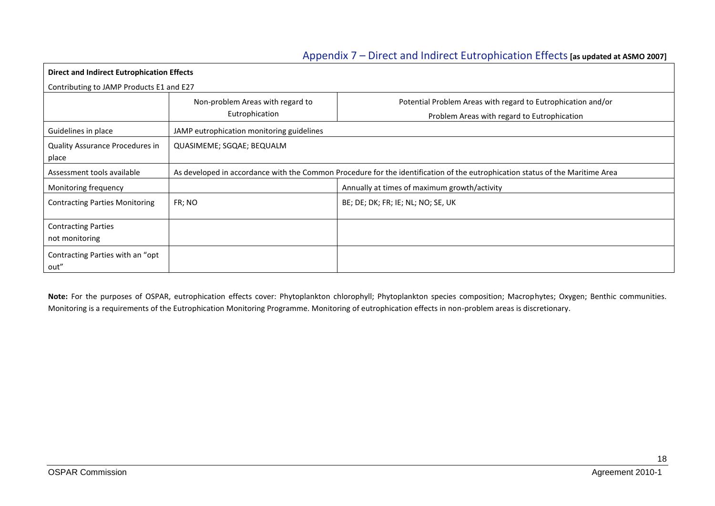## <span id="page-17-0"></span>Appendix 7 – Direct and Indirect Eutrophication Effects**[as updated at ASMO 2007]**

| Direct and Indirect Eutrophication Effects                           |                                           |                                                                                                                               |  |  |  |  |  |
|----------------------------------------------------------------------|-------------------------------------------|-------------------------------------------------------------------------------------------------------------------------------|--|--|--|--|--|
|                                                                      | Contributing to JAMP Products E1 and E27  |                                                                                                                               |  |  |  |  |  |
|                                                                      | Non-problem Areas with regard to          | Potential Problem Areas with regard to Eutrophication and/or                                                                  |  |  |  |  |  |
|                                                                      | Eutrophication                            | Problem Areas with regard to Eutrophication                                                                                   |  |  |  |  |  |
| Guidelines in place                                                  | JAMP eutrophication monitoring guidelines |                                                                                                                               |  |  |  |  |  |
| <b>Quality Assurance Procedures in</b><br>QUASIMEME; SGQAE; BEQUALM  |                                           |                                                                                                                               |  |  |  |  |  |
| place                                                                |                                           |                                                                                                                               |  |  |  |  |  |
| Assessment tools available                                           |                                           | As developed in accordance with the Common Procedure for the identification of the eutrophication status of the Maritime Area |  |  |  |  |  |
| Annually at times of maximum growth/activity<br>Monitoring frequency |                                           |                                                                                                                               |  |  |  |  |  |
| <b>Contracting Parties Monitoring</b>                                | FR; NO                                    | BE; DE; DK; FR; IE; NL; NO; SE, UK                                                                                            |  |  |  |  |  |
|                                                                      |                                           |                                                                                                                               |  |  |  |  |  |
| <b>Contracting Parties</b>                                           |                                           |                                                                                                                               |  |  |  |  |  |
| not monitoring                                                       |                                           |                                                                                                                               |  |  |  |  |  |
| Contracting Parties with an "opt                                     |                                           |                                                                                                                               |  |  |  |  |  |
| out"                                                                 |                                           |                                                                                                                               |  |  |  |  |  |

**Note:** For the purposes of OSPAR, eutrophication effects cover: Phytoplankton chlorophyll; Phytoplankton species composition; Macrophytes; Oxygen; Benthic communities. Monitoring is a requirements of the Eutrophication Monitoring Programme. Monitoring of eutrophication effects in non-problem areas is discretionary.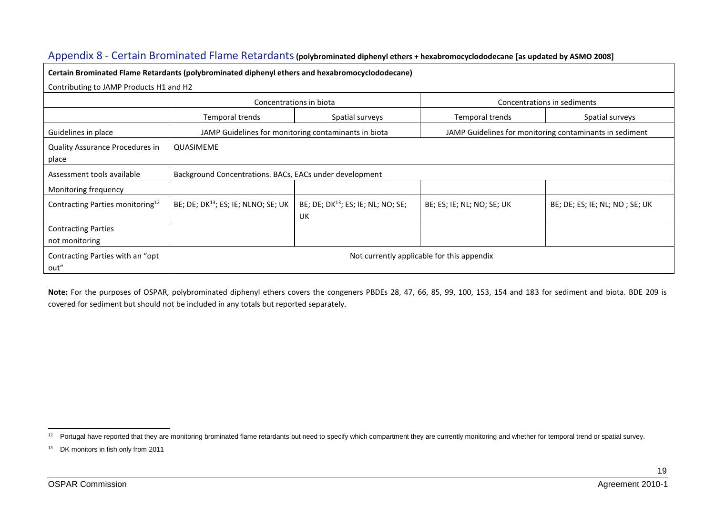| Certain Brominated Flame Retardants (polybrominated diphenyl ethers and hexabromocyclododecane)<br>Contributing to JAMP Products H1 and H2 |                                                 |                                                         |                            |                                                         |  |  |  |
|--------------------------------------------------------------------------------------------------------------------------------------------|-------------------------------------------------|---------------------------------------------------------|----------------------------|---------------------------------------------------------|--|--|--|
|                                                                                                                                            |                                                 | Concentrations in biota                                 |                            | Concentrations in sediments                             |  |  |  |
|                                                                                                                                            | Temporal trends                                 | Spatial surveys                                         | Temporal trends            | Spatial surveys                                         |  |  |  |
| Guidelines in place                                                                                                                        |                                                 | JAMP Guidelines for monitoring contaminants in biota    |                            | JAMP Guidelines for monitoring contaminants in sediment |  |  |  |
| Quality Assurance Procedures in<br>place                                                                                                   | QUASIMEME                                       |                                                         |                            |                                                         |  |  |  |
| Assessment tools available                                                                                                                 |                                                 | Background Concentrations. BACs, EACs under development |                            |                                                         |  |  |  |
| Monitoring frequency                                                                                                                       |                                                 |                                                         |                            |                                                         |  |  |  |
| Contracting Parties monitoring <sup>12</sup>                                                                                               | BE; DE; DK <sup>13</sup> ; ES; IE; NLNO; SE; UK | BE; DE; DK <sup>13</sup> ; ES; IE; NL; NO; SE;<br>UK    | BE; ES; IE; NL; NO; SE; UK | BE; DE; ES; IE; NL; NO; SE; UK                          |  |  |  |
| <b>Contracting Parties</b><br>not monitoring                                                                                               |                                                 |                                                         |                            |                                                         |  |  |  |
| Contracting Parties with an "opt"<br>out"                                                                                                  | Not currently applicable for this appendix      |                                                         |                            |                                                         |  |  |  |

Appendix 8 - Certain Brominated Flame Retardants**(polybrominated diphenyl ethers + hexabromocyclododecane [as updated by ASMO 2008]**

<span id="page-18-1"></span><span id="page-18-0"></span>**Note:** For the purposes of OSPAR, polybrominated diphenyl ethers covers the congeners PBDEs 28, 47, 66, 85, 99, 100, 153, 154 and 183 for sediment and biota. BDE 209 is covered for sediment but should not be included in any totals but reported separately.

<sup>&</sup>lt;sup>12</sup> Portugal have reported that they are monitoring brominated flame retardants but need to specify which compartment they are currently monitoring and whether for temporal trend or spatial survey.

<sup>13</sup> DK monitors in fish only from 2011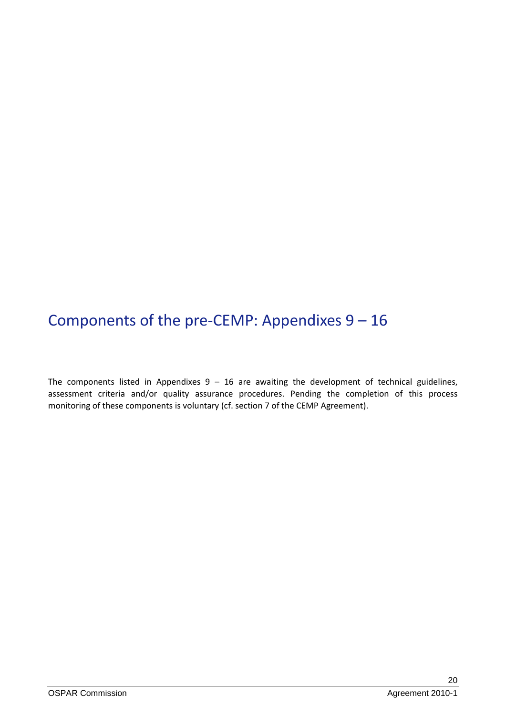# <span id="page-19-0"></span>Components of the pre-CEMP: Appendixes 9 – 16

The components listed in Appendixes  $9 - 16$  are awaiting the development of technical guidelines, assessment criteria and/or quality assurance procedures. Pending the completion of this process monitoring of these components is voluntary (cf. section 7 of the CEMP Agreement).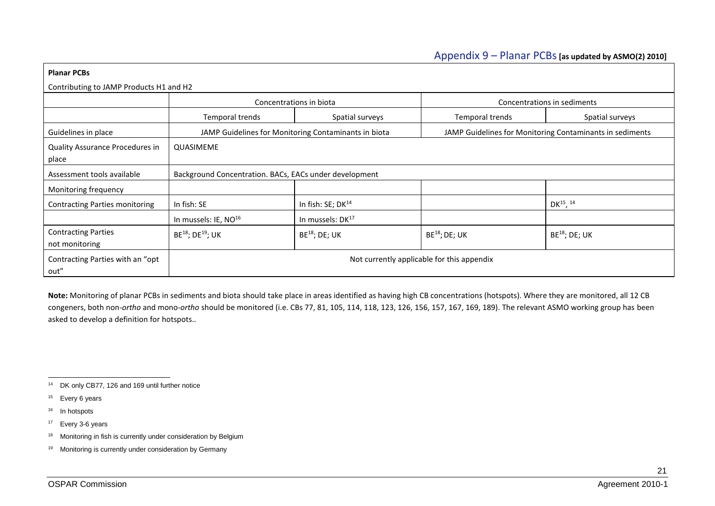### <span id="page-20-1"></span>Appendix 9 – Planar PCBs**[as updated by ASMO(2) 2010]**

| <b>Planar PCBs</b>                           |                                                        |                                                      |                    |                                                          |  |  |
|----------------------------------------------|--------------------------------------------------------|------------------------------------------------------|--------------------|----------------------------------------------------------|--|--|
| Contributing to JAMP Products H1 and H2      |                                                        |                                                      |                    |                                                          |  |  |
|                                              |                                                        | Concentrations in biota                              |                    | Concentrations in sediments                              |  |  |
|                                              | Temporal trends                                        | Spatial surveys                                      | Temporal trends    | Spatial surveys                                          |  |  |
| Guidelines in place                          |                                                        | JAMP Guidelines for Monitoring Contaminants in biota |                    | JAMP Guidelines for Monitoring Contaminants in sediments |  |  |
| Quality Assurance Procedures in<br>place     | QUASIMEME                                              |                                                      |                    |                                                          |  |  |
| Assessment tools available                   | Background Concentration. BACs, EACs under development |                                                      |                    |                                                          |  |  |
| Monitoring frequency                         |                                                        |                                                      |                    |                                                          |  |  |
| <b>Contracting Parties monitoring</b>        | In fish: SE                                            | In fish: SE; DK <sup>14</sup>                        |                    | DK $^{15}$ , $^{14}$                                     |  |  |
|                                              | In mussels: IE, NO <sup>16</sup>                       | In mussels: DK <sup>17</sup>                         |                    |                                                          |  |  |
| <b>Contracting Parties</b><br>not monitoring | BE <sup>18</sup> ; DE <sup>19</sup> ; UK               | $BE^{18}$ ; DE; UK                                   | $BE^{18}$ ; DE; UK | <b>BE<sup>18</sup>; DE; UK</b>                           |  |  |
| Contracting Parties with an "opt"<br>out"    | Not currently applicable for this appendix             |                                                      |                    |                                                          |  |  |

<span id="page-20-2"></span><span id="page-20-0"></span>**Note:** Monitoring of planar PCBs in sediments and biota should take place in areas identified as having high CB concentrations (hotspots). Where they are monitored, all 12 CB congeners, both non-*ortho* and mono-*ortho* should be monitored (i.e. CBs 77, 81, 105, 114, 118, 123, 126, 156, 157, 167, 169, 189). The relevant ASMO working group has been asked to develop a definition for hotspots..

<sup>16</sup> In hotspots

<sup>1</sup> <sup>14</sup> DK only CB77, 126 and 169 until further notice

<sup>&</sup>lt;sup>15</sup> Every 6 years

<sup>17</sup> Every 3-6 years

<sup>&</sup>lt;sup>18</sup> Monitoring in fish is currently under consideration by Belgium

<sup>19</sup> Monitoring is currently under consideration by Germany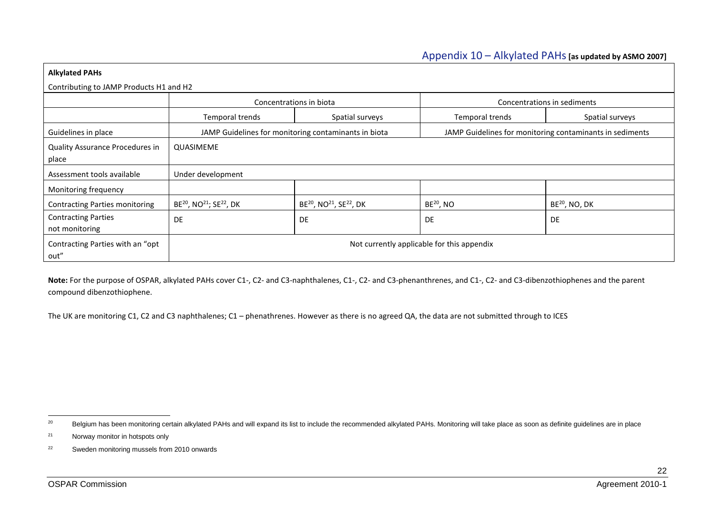#### Appendix 10 – Alkylated PAHs**[as updated by ASMO 2007]**

| <b>Alkylated PAHs</b>                        |                                                             |                                                             |                 |                                                          |  |  |  |  |
|----------------------------------------------|-------------------------------------------------------------|-------------------------------------------------------------|-----------------|----------------------------------------------------------|--|--|--|--|
|                                              | Contributing to JAMP Products H1 and H2                     |                                                             |                 |                                                          |  |  |  |  |
|                                              |                                                             | Concentrations in biota                                     |                 | Concentrations in sediments                              |  |  |  |  |
|                                              | Temporal trends                                             | Spatial surveys                                             | Temporal trends | Spatial surveys                                          |  |  |  |  |
| Guidelines in place                          |                                                             | JAMP Guidelines for monitoring contaminants in biota        |                 | JAMP Guidelines for monitoring contaminants in sediments |  |  |  |  |
| Quality Assurance Procedures in<br>place     | QUASIMEME                                                   |                                                             |                 |                                                          |  |  |  |  |
| Assessment tools available                   | Under development                                           |                                                             |                 |                                                          |  |  |  |  |
| Monitoring frequency                         |                                                             |                                                             |                 |                                                          |  |  |  |  |
| <b>Contracting Parties monitoring</b>        | BE <sup>20</sup> , NO <sup>21</sup> ; SE <sup>22</sup> , DK | BE <sup>20</sup> , NO <sup>21</sup> , SE <sup>22</sup> , DK | $BE^{20}$ , NO  | $BE^{20}$ , NO, DK                                       |  |  |  |  |
| <b>Contracting Parties</b><br>not monitoring | <b>DE</b>                                                   | DE                                                          | DE              | DE                                                       |  |  |  |  |
| Contracting Parties with an "opt<br>out"     | Not currently applicable for this appendix                  |                                                             |                 |                                                          |  |  |  |  |

<span id="page-21-3"></span><span id="page-21-2"></span><span id="page-21-1"></span><span id="page-21-0"></span>Note: For the purpose of OSPAR, alkylated PAHs cover C1-, C2- and C3-naphthalenes, C1-, C2- and C3-phenanthrenes, and C1-, C2- and C3-dibenzothiophenes and the parent compound dibenzothiophene.

The UK are monitoring C1, C2 and C3 naphthalenes; C1 – phenathrenes. However as there is no agreed QA, the data are not submitted through to ICES

 $20\degree$ Belgium has been monitoring certain alkylated PAHs and will expand its list to include the recommended alkylated PAHs. Monitoring will take place as soon as definite guidelines are in place

<sup>21</sup> Norway monitor in hotspots only

<sup>22</sup> Sweden monitoring mussels from 2010 onwards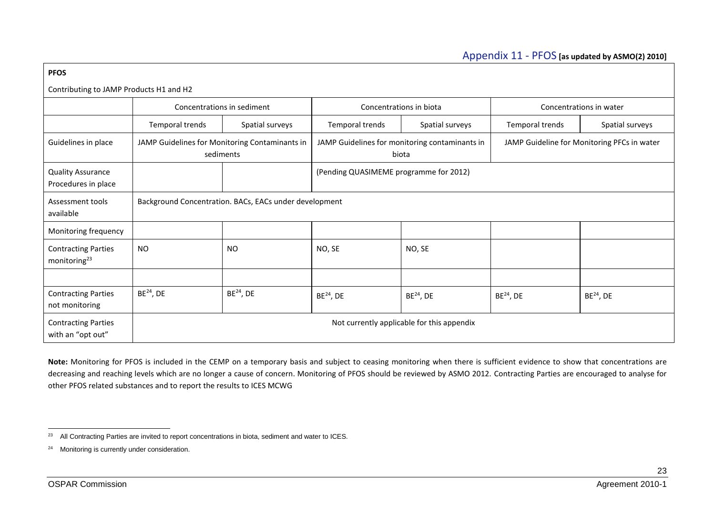### Appendix 11 - PFOS **[as updated by ASMO(2) 2010]**

| <b>PFOS</b>                                            |                                                                                                                                                                       |                            |                                        |                         |                 |                         |  |  |  |
|--------------------------------------------------------|-----------------------------------------------------------------------------------------------------------------------------------------------------------------------|----------------------------|----------------------------------------|-------------------------|-----------------|-------------------------|--|--|--|
|                                                        | Contributing to JAMP Products H1 and H2                                                                                                                               |                            |                                        |                         |                 |                         |  |  |  |
|                                                        |                                                                                                                                                                       | Concentrations in sediment |                                        | Concentrations in biota |                 | Concentrations in water |  |  |  |
|                                                        | Temporal trends                                                                                                                                                       | Spatial surveys            | Temporal trends                        | Spatial surveys         | Temporal trends | Spatial surveys         |  |  |  |
| Guidelines in place                                    | JAMP Guidelines for Monitoring Contaminants in<br>JAMP Guidelines for monitoring contaminants in<br>JAMP Guideline for Monitoring PFCs in water<br>sediments<br>biota |                            |                                        |                         |                 |                         |  |  |  |
| <b>Quality Assurance</b><br>Procedures in place        |                                                                                                                                                                       |                            | (Pending QUASIMEME programme for 2012) |                         |                 |                         |  |  |  |
| Assessment tools<br>available                          | Background Concentration. BACs, EACs under development                                                                                                                |                            |                                        |                         |                 |                         |  |  |  |
| Monitoring frequency                                   |                                                                                                                                                                       |                            |                                        |                         |                 |                         |  |  |  |
| <b>Contracting Parties</b><br>monitoring <sup>23</sup> | <b>NO</b>                                                                                                                                                             | <b>NO</b>                  | NO, SE                                 | NO, SE                  |                 |                         |  |  |  |
|                                                        |                                                                                                                                                                       |                            |                                        |                         |                 |                         |  |  |  |
| <b>Contracting Parties</b><br>not monitoring           | $BE^{24}$ , DE                                                                                                                                                        | $BE^{24}$ , DE             | $BE^{24}$ , DE                         | $BE^{24}$ , DE          | $BE^{24}$ , DE  | $BE^{24}$ , DE          |  |  |  |
| <b>Contracting Parties</b><br>with an "opt out"        | Not currently applicable for this appendix                                                                                                                            |                            |                                        |                         |                 |                         |  |  |  |

<span id="page-22-1"></span><span id="page-22-0"></span>**Note:** Monitoring for PFOS is included in the CEMP on a temporary basis and subject to ceasing monitoring when there is sufficient evidence to show that concentrations are decreasing and reaching levels which are no longer a cause of concern. Monitoring of PFOS should be reviewed by ASMO 2012. Contracting Parties are encouraged to analyse for other PFOS related substances and to report the results to ICES MCWG

1

<sup>&</sup>lt;sup>23</sup> All Contracting Parties are invited to report concentrations in biota, sediment and water to ICES.

<sup>&</sup>lt;sup>24</sup> Monitoring is currently under consideration.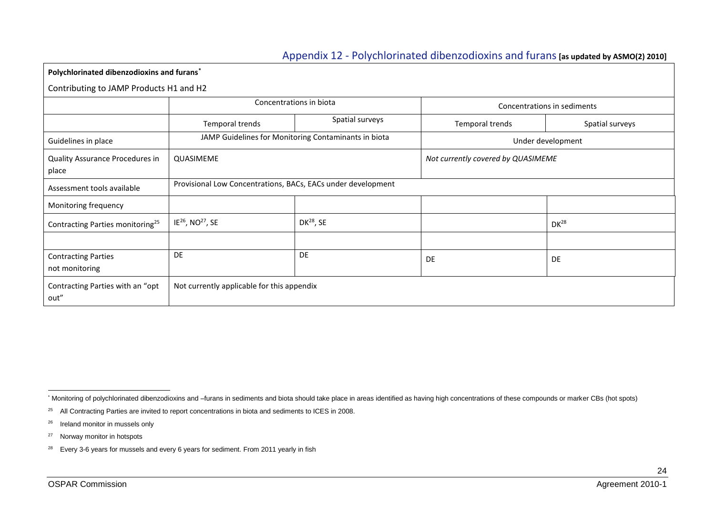## <span id="page-23-1"></span>Appendix 12 - Polychlorinated dibenzodioxins and furans**[as updated by ASMO(2) 2010]**

**Polychlorinated dibenzodioxins and furans\***

Contributing to JAMP Products H1 and H2

|                                              | Concentrations in biota                                      |                 | Concentrations in sediments        |                 |
|----------------------------------------------|--------------------------------------------------------------|-----------------|------------------------------------|-----------------|
|                                              | Temporal trends                                              | Spatial surveys | Temporal trends                    | Spatial surveys |
| Guidelines in place                          | JAMP Guidelines for Monitoring Contaminants in biota         |                 | Under development                  |                 |
| Quality Assurance Procedures in<br>place     | QUASIMEME                                                    |                 | Not currently covered by QUASIMEME |                 |
| Assessment tools available                   | Provisional Low Concentrations, BACs, EACs under development |                 |                                    |                 |
| Monitoring frequency                         |                                                              |                 |                                    |                 |
| Contracting Parties monitoring <sup>25</sup> | IE <sup>26</sup> , NO <sup>27</sup> , SE                     | $DK^{28}$ , SE  |                                    | $DK^{28}$       |
|                                              |                                                              |                 |                                    |                 |
| <b>Contracting Parties</b><br>not monitoring | <b>DE</b>                                                    | <b>DE</b>       | <b>DE</b>                          | DE              |
| Contracting Parties with an "opt<br>out"     | Not currently applicable for this appendix                   |                 |                                    |                 |

<span id="page-23-0"></span><sup>\*</sup> Monitoring of polychlorinated dibenzodioxins and –furans in sediments and biota should take place in areas identified as having high concentrations of these compounds or marker CBs (hot spots)

<sup>&</sup>lt;sup>25</sup> All Contracting Parties are invited to report concentrations in biota and sediments to ICES in 2008.

<sup>&</sup>lt;sup>26</sup> Ireland monitor in mussels only

<sup>27</sup> Norway monitor in hotspots

<sup>&</sup>lt;sup>28</sup> Every 3-6 years for mussels and every 6 years for sediment. From 2011 yearly in fish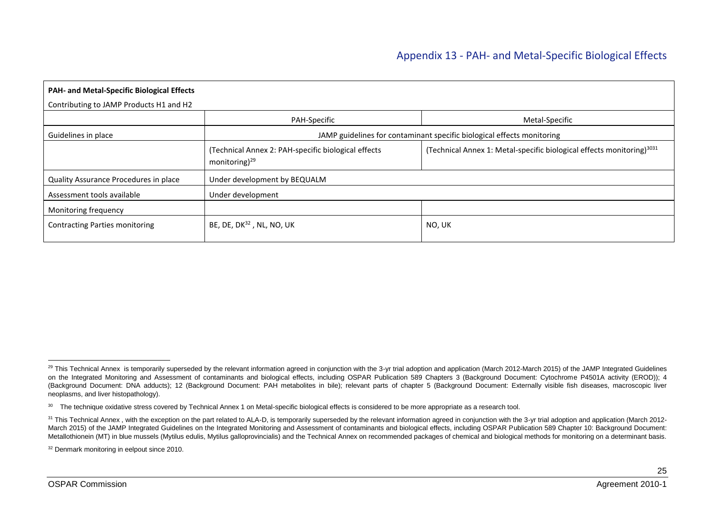| PAH- and Metal-Specific Biological Effects |                                                                                  |                                                                                   |  |  |
|--------------------------------------------|----------------------------------------------------------------------------------|-----------------------------------------------------------------------------------|--|--|
| Contributing to JAMP Products H1 and H2    |                                                                                  |                                                                                   |  |  |
|                                            | PAH-Specific                                                                     | Metal-Specific                                                                    |  |  |
| Guidelines in place                        |                                                                                  | JAMP guidelines for contaminant specific biological effects monitoring            |  |  |
|                                            | (Technical Annex 2: PAH-specific biological effects<br>monitoring) <sup>29</sup> | (Technical Annex 1: Metal-specific biological effects monitoring) <sup>3031</sup> |  |  |
| Quality Assurance Procedures in place      | Under development by BEQUALM                                                     |                                                                                   |  |  |
| Assessment tools available                 | Under development                                                                |                                                                                   |  |  |
| Monitoring frequency                       |                                                                                  |                                                                                   |  |  |
| <b>Contracting Parties monitoring</b>      | BE, DE, DK <sup>32</sup> , NL, NO, UK                                            | NO, UK                                                                            |  |  |

<sup>32</sup> Denmark monitoring in eelpout since 2010.

<span id="page-24-0"></span>-

<sup>&</sup>lt;sup>29</sup> This Technical Annex is temporarily superseded by the relevant information agreed in conjunction with the 3-yr trial adoption and application (March 2012-March 2015) of the JAMP Integrated Guidelines on the Integrated Monitoring and Assessment of contaminants and biological effects, including OSPAR Publication 589 Chapters 3 (Background Document: Cytochrome P4501A activity (EROD)); 4 (Background Document: DNA adducts); 12 (Background Document: PAH metabolites in bile); relevant parts of chapter 5 (Background Document: Externally visible fish diseases, macroscopic liver neoplasms, and liver histopathology).

<sup>&</sup>lt;sup>30</sup> The technique oxidative stress covered by Technical Annex 1 on Metal-specific biological effects is considered to be more appropriate as a research tool.

<sup>&</sup>lt;sup>31</sup> This Technical Annex, with the exception on the part related to ALA-D, is temporarily superseded by the relevant information agreed in conjunction with the 3-yr trial adoption and application (March 2012-March 2015) of the JAMP Integrated Guidelines on the Integrated Monitoring and Assessment of contaminants and biological effects, including OSPAR Publication 589 Chapter 10: Background Document: Metallothionein (MT) in blue mussels (Mytilus edulis, Mytilus galloprovincialis) and the Technical Annex on recommended packages of chemical and biological methods for monitoring on a determinant basis.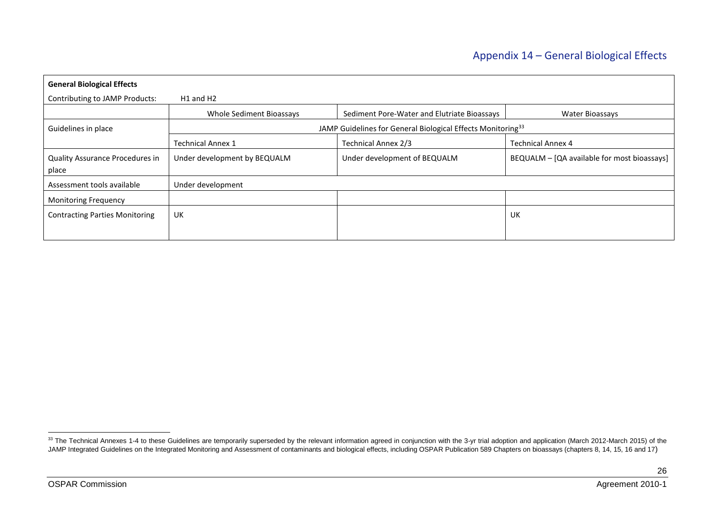## Appendix 14 – General Biological Effects

| <b>General Biological Effects</b>        |                                   |                                                                         |                                             |  |
|------------------------------------------|-----------------------------------|-------------------------------------------------------------------------|---------------------------------------------|--|
| Contributing to JAMP Products:           | H <sub>1</sub> and H <sub>2</sub> |                                                                         |                                             |  |
|                                          | Whole Sediment Bioassays          | Sediment Pore-Water and Elutriate Bioassays                             | <b>Water Bioassays</b>                      |  |
| Guidelines in place                      |                                   | JAMP Guidelines for General Biological Effects Monitoring <sup>33</sup> |                                             |  |
|                                          | <b>Technical Annex 1</b>          | Technical Annex 2/3                                                     | <b>Technical Annex 4</b>                    |  |
| Quality Assurance Procedures in<br>place | Under development by BEQUALM      | Under development of BEQUALM                                            | BEQUALM - [QA available for most bioassays] |  |
| Assessment tools available               | Under development                 |                                                                         |                                             |  |
| <b>Monitoring Frequency</b>              |                                   |                                                                         |                                             |  |
| <b>Contracting Parties Monitoring</b>    | UK                                |                                                                         | UK                                          |  |
|                                          |                                   |                                                                         |                                             |  |

<span id="page-25-0"></span>-

<sup>&</sup>lt;sup>33</sup> The Technical Annexes 1-4 to these Guidelines are temporarily superseded by the relevant information agreed in conjunction with the 3-yr trial adoption and application (March 2012-March 2015) of the JAMP Integrated Guidelines on the Integrated Monitoring and Assessment of contaminants and biological effects, including OSPAR Publication 589 Chapters on bioassays (chapters 8, 14, 15, 16 and 17)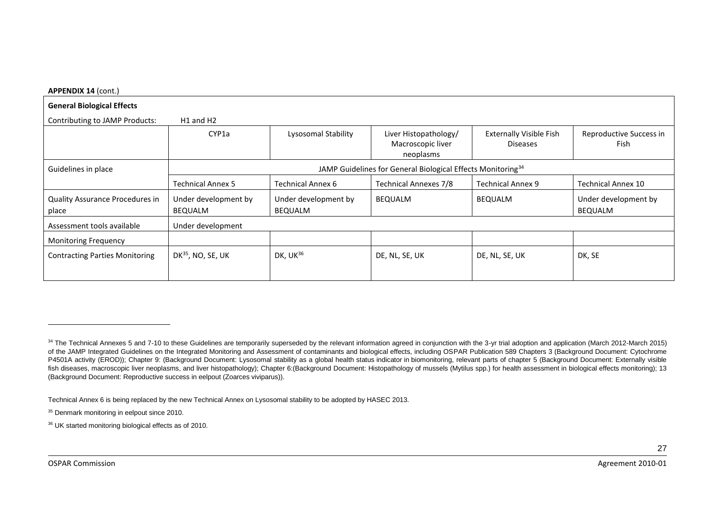#### **APPENDIX 14** (cont.)

| <b>General Biological Effects</b>      |                                                                         |                          |                                                         |                                                   |                                 |
|----------------------------------------|-------------------------------------------------------------------------|--------------------------|---------------------------------------------------------|---------------------------------------------------|---------------------------------|
| Contributing to JAMP Products:         | H <sub>1</sub> and H <sub>2</sub>                                       |                          |                                                         |                                                   |                                 |
|                                        | CYP1a                                                                   | Lysosomal Stability      | Liver Histopathology/<br>Macroscopic liver<br>neoplasms | <b>Externally Visible Fish</b><br><b>Diseases</b> | Reproductive Success in<br>Fish |
| Guidelines in place                    | JAMP Guidelines for General Biological Effects Monitoring <sup>34</sup> |                          |                                                         |                                                   |                                 |
|                                        | <b>Technical Annex 5</b>                                                | <b>Technical Annex 6</b> | <b>Technical Annexes 7/8</b>                            | <b>Technical Annex 9</b>                          | <b>Technical Annex 10</b>       |
| <b>Quality Assurance Procedures in</b> | Under development by                                                    | Under development by     | <b>BEQUALM</b>                                          | <b>BEQUALM</b>                                    | Under development by            |
| place                                  | <b>BEQUALM</b>                                                          | <b>BEQUALM</b>           |                                                         |                                                   | <b>BEQUALM</b>                  |
| Assessment tools available             | Under development                                                       |                          |                                                         |                                                   |                                 |
| <b>Monitoring Frequency</b>            |                                                                         |                          |                                                         |                                                   |                                 |
| <b>Contracting Parties Monitoring</b>  | DK $35$ , NO, SE, UK                                                    | DK, $UK^{36}$            | DE, NL, SE, UK                                          | DE, NL, SE, UK                                    | DK, SE                          |

<sup>34</sup> The Technical Annexes 5 and 7-10 to these Guidelines are temporarily superseded by the relevant information agreed in conjunction with the 3-yr trial adoption and application (March 2012-March 2015) of the JAMP Integrated Guidelines on the Integrated Monitoring and Assessment of contaminants and biological effects, including OSPAR Publication 589 Chapters 3 (Background Document: Cytochrome P4501A activity (EROD)); Chapter 9: (Background Document: Lysosomal stability as a global health status indicator in biomonitoring, relevant parts of chapter 5 (Background Document: Externally visible fish diseases, macroscopic liver neoplasms, and liver histopathology); Chapter 6:(Background Document: Histopathology of mussels (Mytilus spp.) for health assessment in biological effects monitoring); 13 (Background Document: Reproductive success in eelpout (Zoarces viviparus)).

Technical Annex 6 is being replaced by the new Technical Annex on Lysosomal stability to be adopted by HASEC 2013.

<sup>&</sup>lt;sup>35</sup> Denmark monitoring in eelpout since 2010.

<sup>36</sup> UK started monitoring biological effects as of 2010.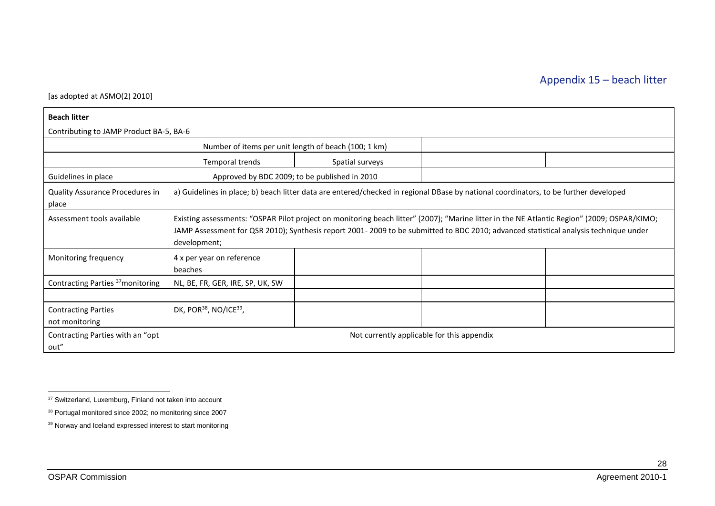[as adopted at ASMO(2) 2010]

| <b>Beach litter</b>                          |                                                                                                                                                                                                                                                                                                     |                                                      |                                                                                                                                      |  |  |
|----------------------------------------------|-----------------------------------------------------------------------------------------------------------------------------------------------------------------------------------------------------------------------------------------------------------------------------------------------------|------------------------------------------------------|--------------------------------------------------------------------------------------------------------------------------------------|--|--|
| Contributing to JAMP Product BA-5, BA-6      |                                                                                                                                                                                                                                                                                                     |                                                      |                                                                                                                                      |  |  |
|                                              |                                                                                                                                                                                                                                                                                                     | Number of items per unit length of beach (100; 1 km) |                                                                                                                                      |  |  |
|                                              | Temporal trends                                                                                                                                                                                                                                                                                     | Spatial surveys                                      |                                                                                                                                      |  |  |
| Guidelines in place                          |                                                                                                                                                                                                                                                                                                     | Approved by BDC 2009; to be published in 2010        |                                                                                                                                      |  |  |
| Quality Assurance Procedures in<br>place     |                                                                                                                                                                                                                                                                                                     |                                                      | a) Guidelines in place; b) beach litter data are entered/checked in regional DBase by national coordinators, to be further developed |  |  |
| Assessment tools available                   | Existing assessments: "OSPAR Pilot project on monitoring beach litter" (2007); "Marine litter in the NE Atlantic Region" (2009; OSPAR/KIMO;<br>JAMP Assessment for QSR 2010); Synthesis report 2001-2009 to be submitted to BDC 2010; advanced statistical analysis technique under<br>development; |                                                      |                                                                                                                                      |  |  |
| Monitoring frequency                         | 4 x per year on reference<br>beaches                                                                                                                                                                                                                                                                |                                                      |                                                                                                                                      |  |  |
| Contracting Parties <sup>37</sup> monitoring | NL, BE, FR, GER, IRE, SP, UK, SW                                                                                                                                                                                                                                                                    |                                                      |                                                                                                                                      |  |  |
|                                              |                                                                                                                                                                                                                                                                                                     |                                                      |                                                                                                                                      |  |  |
| <b>Contracting Parties</b><br>not monitoring | DK, POR <sup>38</sup> , NO/ICE <sup>39</sup> ,                                                                                                                                                                                                                                                      |                                                      |                                                                                                                                      |  |  |
| Contracting Parties with an "opt<br>out"     |                                                                                                                                                                                                                                                                                                     |                                                      | Not currently applicable for this appendix                                                                                           |  |  |

<span id="page-27-0"></span>-

<sup>&</sup>lt;sup>37</sup> Switzerland, Luxemburg, Finland not taken into account

<sup>38</sup> Portugal monitored since 2002; no monitoring since 2007

<sup>39</sup> Norway and Iceland expressed interest to start monitoring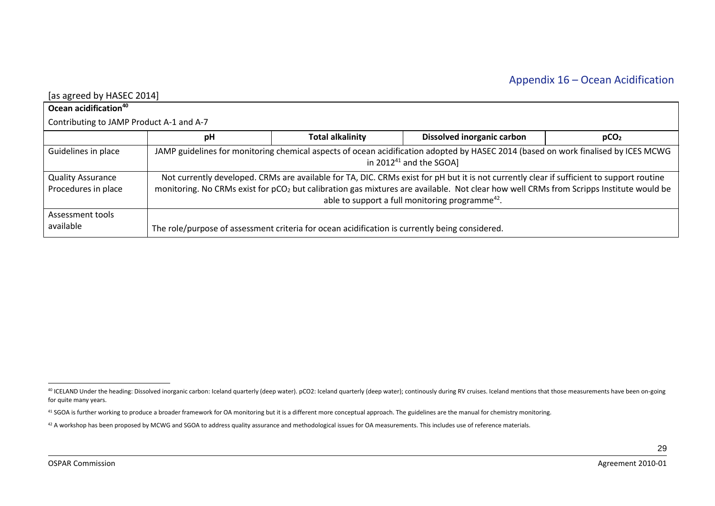| [as agreed by HASEC 2014]                       |                                                                                                                                                                                                                                                                                                                                                                |                                                                                                |                                   |                  |  |
|-------------------------------------------------|----------------------------------------------------------------------------------------------------------------------------------------------------------------------------------------------------------------------------------------------------------------------------------------------------------------------------------------------------------------|------------------------------------------------------------------------------------------------|-----------------------------------|------------------|--|
| Ocean acidification <sup>40</sup>               |                                                                                                                                                                                                                                                                                                                                                                |                                                                                                |                                   |                  |  |
| Contributing to JAMP Product A-1 and A-7        |                                                                                                                                                                                                                                                                                                                                                                |                                                                                                |                                   |                  |  |
|                                                 | pH                                                                                                                                                                                                                                                                                                                                                             | <b>Total alkalinity</b>                                                                        | <b>Dissolved inorganic carbon</b> | pCO <sub>2</sub> |  |
| Guidelines in place                             | JAMP guidelines for monitoring chemical aspects of ocean acidification adopted by HASEC 2014 (based on work finalised by ICES MCWG<br>in 2012 $41$ and the SGOA]                                                                                                                                                                                               |                                                                                                |                                   |                  |  |
| <b>Quality Assurance</b><br>Procedures in place | Not currently developed. CRMs are available for TA, DIC. CRMs exist for pH but it is not currently clear if sufficient to support routine<br>monitoring. No CRMs exist for pCO <sub>2</sub> but calibration gas mixtures are available. Not clear how well CRMs from Scripps Institute would be<br>able to support a full monitoring programme <sup>42</sup> . |                                                                                                |                                   |                  |  |
| Assessment tools<br>available                   |                                                                                                                                                                                                                                                                                                                                                                | The role/purpose of assessment criteria for ocean acidification is currently being considered. |                                   |                  |  |

<span id="page-28-0"></span><sup>&</sup>lt;sup>40</sup> ICELAND Under the heading: Dissolved inorganic carbon: Iceland quarterly (deep water). pCO2: Iceland quarterly (deep water); continously during RV cruises. Iceland mentions that those measurements have been on-going for quite many years.

<sup>41</sup> SGOA is further working to produce a broader framework for OA monitoring but it is a different more conceptual approach. The guidelines are the manual for chemistry monitoring.

<sup>42</sup> A workshop has been proposed by MCWG and SGOA to address quality assurance and methodological issues for OA measurements. This includes use of reference materials.